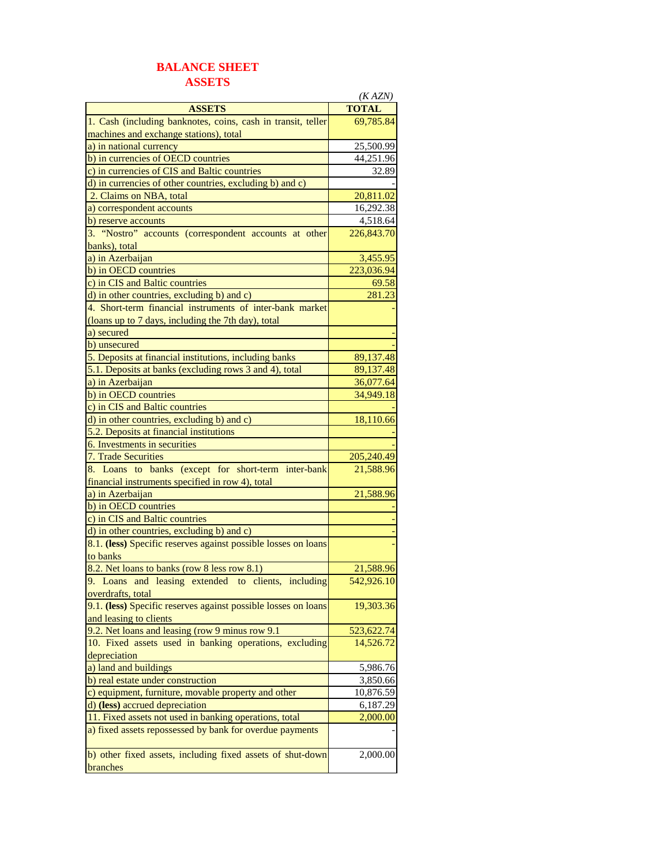## **BALANCE SHEET ASSETS**

|                                                                | (KAZN)                  |
|----------------------------------------------------------------|-------------------------|
| <b>ASSETS</b>                                                  | <b>TOTAL</b>            |
| 1. Cash (including banknotes, coins, cash in transit, teller   | 69,785.84               |
| machines and exchange stations), total                         |                         |
| a) in national currency                                        | 25,500.99               |
| b) in currencies of OECD countries                             | 44,251.96               |
| c) in currencies of CIS and Baltic countries                   | 32.89                   |
| d) in currencies of other countries, excluding b) and c)       |                         |
| 2. Claims on NBA, total                                        | 20,811.02               |
| a) correspondent accounts                                      | 16,292.38               |
| b) reserve accounts                                            | 4,518.64                |
| 3. "Nostro" accounts (correspondent accounts at other          | 226,843.70              |
| banks), total                                                  |                         |
| a) in Azerbaijan                                               | 3,455.95                |
| b) in OECD countries                                           | 223,036.94              |
| c) in CIS and Baltic countries                                 | 69.58                   |
| d) in other countries, excluding b) and c)                     | 281.23                  |
| 4. Short-term financial instruments of inter-bank market       |                         |
| (loans up to 7 days, including the 7th day), total             |                         |
| a) secured                                                     |                         |
| b) unsecured                                                   |                         |
| 5. Deposits at financial institutions, including banks         | 89,137.48               |
| 5.1. Deposits at banks (excluding rows 3 and 4), total         | 89,137.48               |
| a) in Azerbaijan                                               | 36,077.64               |
| b) in OECD countries                                           | 34,949.18               |
| c) in CIS and Baltic countries                                 |                         |
| d) in other countries, excluding b) and c)                     | 18,110.66               |
| 5.2. Deposits at financial institutions                        |                         |
| 6. Investments in securities                                   |                         |
| 7. Trade Securities                                            | 205,240.49              |
| 8. Loans to banks (except for short-term inter-bank            | 21,588.96               |
| financial instruments specified in row 4), total               |                         |
| a) in Azerbaijan                                               | 21,588.96               |
| b) in OECD countries                                           |                         |
| c) in CIS and Baltic countries                                 |                         |
| d) in other countries, excluding b) and c)                     |                         |
| 8.1. (less) Specific reserves against possible losses on loans |                         |
| to banks                                                       |                         |
|                                                                |                         |
| 8.2. Net loans to banks (row 8 less row 8.1)                   | 21,588.96<br>542.926.10 |
| 9. Loans and leasing extended to clients, including            |                         |
| <u>overdrafts, total</u>                                       |                         |
| 9.1. (less) Specific reserves against possible losses on loans | 19,303.36               |
| and leasing to clients                                         |                         |
| 9.2. Net loans and leasing (row 9 minus row 9.1)               | 523,622.74              |
| 10. Fixed assets used in banking operations, excluding         | 14,526.72               |
| depreciation                                                   |                         |
| a) land and buildings                                          | 5,986.76                |
| b) real estate under construction                              | 3,850.66                |
| c) equipment, furniture, movable property and other            | 10,876.59               |
| d) (less) accrued depreciation                                 | 6,187.29                |
| 11. Fixed assets not used in banking operations, total         | 2,000.00                |
| a) fixed assets repossessed by bank for overdue payments       |                         |
| b) other fixed assets, including fixed assets of shut-down     | 2,000.00                |
| branches                                                       |                         |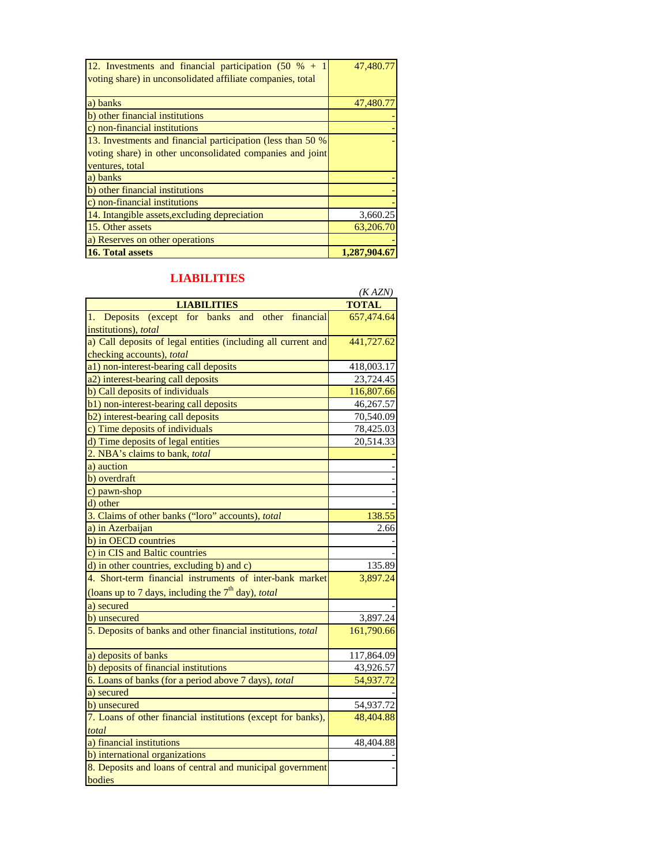| 12. Investments and financial participation $(50 \, % + 1)$<br>voting share) in unconsolidated affiliate companies, total | 47,480.77   |
|---------------------------------------------------------------------------------------------------------------------------|-------------|
| a) banks                                                                                                                  | 47,480.7    |
| b) other financial institutions                                                                                           |             |
| c) non-financial institutions                                                                                             |             |
| 13. Investments and financial participation (less than 50 %                                                               |             |
| voting share) in other unconsolidated companies and joint                                                                 |             |
| ventures, total                                                                                                           |             |
| a) banks                                                                                                                  |             |
| b) other financial institutions                                                                                           |             |
| c) non-financial institutions                                                                                             |             |
| 14. Intangible assets, excluding depreciation                                                                             | 3,660.25    |
| 15. Other assets                                                                                                          | 63,206.70   |
| a) Reserves on other operations                                                                                           |             |
| <b>16. Total assets</b>                                                                                                   | 1.287.904.6 |

## **LIABILITIES**

|                                                               | (KAZN)       |
|---------------------------------------------------------------|--------------|
| <b>LIABILITIES</b>                                            | <b>TOTAL</b> |
| Deposits (except for banks and other<br>financial<br>1.       | 657,474.64   |
| institutions), total                                          |              |
| a) Call deposits of legal entities (including all current and | 441,727.62   |
| checking accounts), total                                     |              |
| a1) non-interest-bearing call deposits                        | 418,003.17   |
| a2) interest-bearing call deposits                            | 23,724.45    |
| b) Call deposits of individuals                               | 116,807.66   |
| b1) non-interest-bearing call deposits                        | 46,267.57    |
| b2) interest-bearing call deposits                            | 70,540.09    |
| c) Time deposits of individuals                               | 78,425.03    |
| d) Time deposits of legal entities                            | 20,514.33    |
| 2. NBA's claims to bank, total                                |              |
| a) auction                                                    |              |
| b) overdraft                                                  |              |
| c) pawn-shop                                                  |              |
| d) other                                                      |              |
| 3. Claims of other banks ("loro" accounts), total             | 138.55       |
| a) in Azerbaijan                                              | 2.66         |
| b) in OECD countries                                          |              |
| c) in CIS and Baltic countries                                |              |
| d) in other countries, excluding b) and c)                    | 135.89       |
| 4. Short-term financial instruments of inter-bank market      | 3,897.24     |
| (loans up to 7 days, including the $7th$ day), total          |              |
| a) secured                                                    |              |
| b) unsecured                                                  | 3,897.24     |
| 5. Deposits of banks and other financial institutions, total  | 161,790.66   |
| a) deposits of banks                                          | 117,864.09   |
| b) deposits of financial institutions                         | 43,926.57    |
| 6. Loans of banks (for a period above 7 days), total          | 54,937.72    |
| a) secured                                                    |              |
| b) unsecured                                                  | 54,937.72    |
| 7. Loans of other financial institutions (except for banks),  | 48,404.88    |
| total                                                         |              |
| a) financial institutions                                     | 48,404.88    |
| b) international organizations                                |              |
| 8. Deposits and loans of central and municipal government     |              |
| bodies                                                        |              |